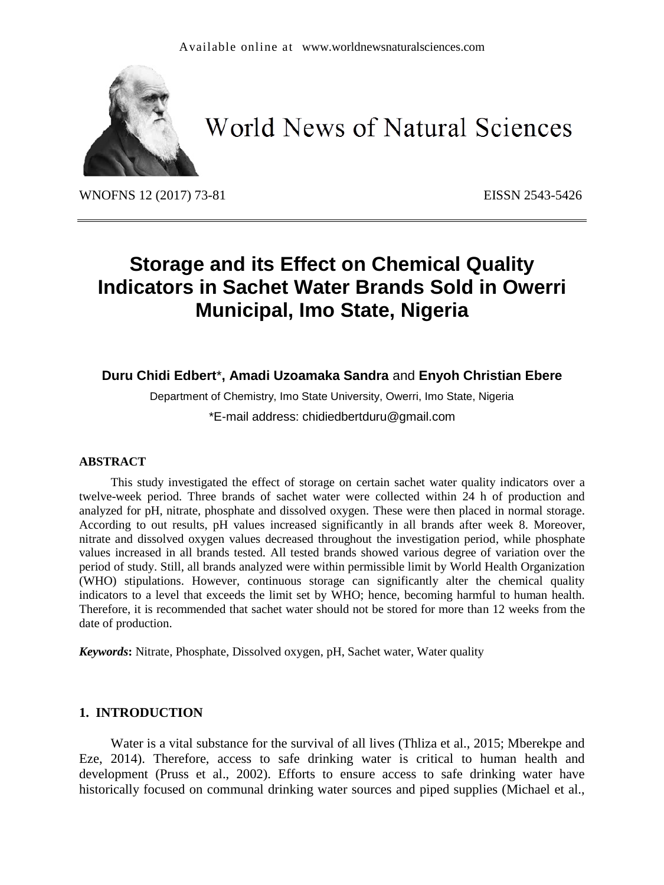

# **World News of Natural Sciences**

WNOFNS 12 (2017) 73-81 EISSN 2543-5426

# **Storage and its Effect on Chemical Quality Indicators in Sachet Water Brands Sold in Owerri Municipal, Imo State, Nigeria**

# **Duru Chidi Edbert**\***, Amadi Uzoamaka Sandra** and **Enyoh Christian Ebere**

Department of Chemistry, Imo State University, Owerri, Imo State, Nigeria \*E-mail address: chidiedbertduru@gmail.com

#### **ABSTRACT**

This study investigated the effect of storage on certain sachet water quality indicators over a twelve-week period. Three brands of sachet water were collected within 24 h of production and analyzed for pH, nitrate, phosphate and dissolved oxygen. These were then placed in normal storage. According to out results, pH values increased significantly in all brands after week 8. Moreover, nitrate and dissolved oxygen values decreased throughout the investigation period, while phosphate values increased in all brands tested. All tested brands showed various degree of variation over the period of study. Still, all brands analyzed were within permissible limit by World Health Organization (WHO) stipulations. However, continuous storage can significantly alter the chemical quality indicators to a level that exceeds the limit set by WHO; hence, becoming harmful to human health. Therefore, it is recommended that sachet water should not be stored for more than 12 weeks from the date of production.

*Keywords***:** Nitrate, Phosphate, Dissolved oxygen, pH, Sachet water, Water quality

#### **1. INTRODUCTION**

Water is a vital substance for the survival of all lives (Thliza et al., 2015; Mberekpe and Eze, 2014). Therefore, access to safe drinking water is critical to human health and development (Pruss et al., 2002). Efforts to ensure access to safe drinking water have historically focused on communal drinking water sources and piped supplies (Michael et al.,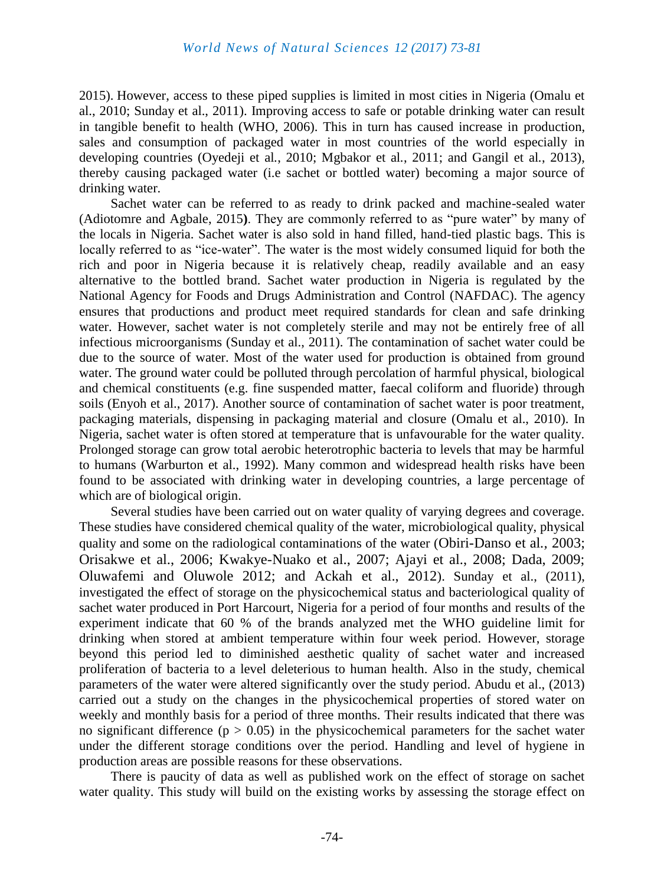2015). However, access to these piped supplies is limited in most cities in Nigeria (Omalu et al., 2010; Sunday et al., 2011). Improving access to safe or potable drinking water can result in tangible benefit to health (WHO, 2006). This in turn has caused increase in production, sales and consumption of packaged water in most countries of the world especially in developing countries (Oyedeji et al*.*, 2010; Mgbakor et al*.*, 2011; and Gangil et al*.*, 2013), thereby causing packaged water (i.e sachet or bottled water) becoming a major source of drinking water.

Sachet water can be referred to as ready to drink packed and machine-sealed water (Adiotomre and Agbale, 2015**)**. They are commonly referred to as "pure water" by many of the locals in Nigeria. Sachet water is also sold in hand filled, hand-tied plastic bags. This is locally referred to as "ice-water". The water is the most widely consumed liquid for both the rich and poor in Nigeria because it is relatively cheap, readily available and an easy alternative to the bottled brand. Sachet water production in Nigeria is regulated by the National Agency for Foods and Drugs Administration and Control (NAFDAC). The agency ensures that productions and product meet required standards for clean and safe drinking water. However, sachet water is not completely sterile and may not be entirely free of all infectious microorganisms (Sunday et al., 2011). The contamination of sachet water could be due to the source of water. Most of the water used for production is obtained from ground water. The ground water could be polluted through percolation of harmful physical, biological and chemical constituents (e.g. fine suspended matter, faecal coliform and fluoride) through soils (Enyoh et al., 2017). Another source of contamination of sachet water is poor treatment, packaging materials, dispensing in packaging material and closure (Omalu et al., 2010). In Nigeria, sachet water is often stored at temperature that is unfavourable for the water quality. Prolonged storage can grow total aerobic heterotrophic bacteria to levels that may be harmful to humans (Warburton et al., 1992). Many common and widespread health risks have been found to be associated with drinking water in developing countries, a large percentage of which are of biological origin.

Several studies have been carried out on water quality of varying degrees and coverage. These studies have considered chemical quality of the water, microbiological quality, physical quality and some on the radiological contaminations of the water (Obiri-Danso et al*.,* 2003; Orisakwe et al., 2006; Kwakye-Nuako et al., 2007; Ajayi et al., 2008; Dada, 2009; Oluwafemi and Oluwole 2012; and Ackah et al., 2012). Sunday et al., (2011), investigated the effect of storage on the physicochemical status and bacteriological quality of sachet water produced in Port Harcourt, Nigeria for a period of four months and results of the experiment indicate that 60 % of the brands analyzed met the WHO guideline limit for drinking when stored at ambient temperature within four week period. However, storage beyond this period led to diminished aesthetic quality of sachet water and increased proliferation of bacteria to a level deleterious to human health. Also in the study, chemical parameters of the water were altered significantly over the study period. Abudu et al., (2013) carried out a study on the changes in the physicochemical properties of stored water on weekly and monthly basis for a period of three months. Their results indicated that there was no significant difference ( $p > 0.05$ ) in the physicochemical parameters for the sachet water under the different storage conditions over the period. Handling and level of hygiene in production areas are possible reasons for these observations.

There is paucity of data as well as published work on the effect of storage on sachet water quality. This study will build on the existing works by assessing the storage effect on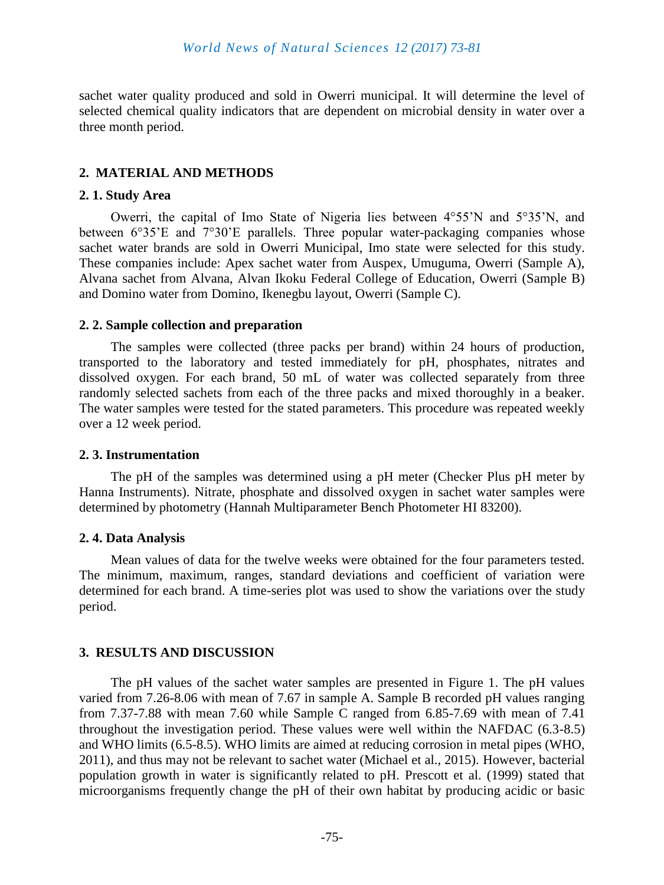sachet water quality produced and sold in Owerri municipal. It will determine the level of selected chemical quality indicators that are dependent on microbial density in water over a three month period.

# **2. MATERIAL AND METHODS**

#### **2. 1. Study Area**

Owerri, the capital of Imo State of Nigeria lies between 4°55'N and 5°35'N, and between 6°35'E and 7°30'E parallels. Three popular water-packaging companies whose sachet water brands are sold in Owerri Municipal, Imo state were selected for this study. These companies include: Apex sachet water from Auspex, Umuguma, Owerri (Sample A), Alvana sachet from Alvana, Alvan Ikoku Federal College of Education, Owerri (Sample B) and Domino water from Domino, Ikenegbu layout, Owerri (Sample C).

### **2. 2. Sample collection and preparation**

The samples were collected (three packs per brand) within 24 hours of production, transported to the laboratory and tested immediately for pH, phosphates, nitrates and dissolved oxygen. For each brand, 50 mL of water was collected separately from three randomly selected sachets from each of the three packs and mixed thoroughly in a beaker. The water samples were tested for the stated parameters. This procedure was repeated weekly over a 12 week period.

#### **2. 3. Instrumentation**

The pH of the samples was determined using a pH meter (Checker Plus pH meter by Hanna Instruments). Nitrate, phosphate and dissolved oxygen in sachet water samples were determined by photometry (Hannah Multiparameter Bench Photometer HI 83200).

# **2. 4. Data Analysis**

Mean values of data for the twelve weeks were obtained for the four parameters tested. The minimum, maximum, ranges, standard deviations and coefficient of variation were determined for each brand. A time-series plot was used to show the variations over the study period.

# **3. RESULTS AND DISCUSSION**

The pH values of the sachet water samples are presented in Figure 1. The pH values varied from 7.26-8.06 with mean of 7.67 in sample A. Sample B recorded pH values ranging from 7.37-7.88 with mean 7.60 while Sample C ranged from 6.85-7.69 with mean of 7.41 throughout the investigation period. These values were well within the NAFDAC (6.3-8.5) and WHO limits (6.5-8.5). WHO limits are aimed at reducing corrosion in metal pipes (WHO, 2011), and thus may not be relevant to sachet water (Michael et al., 2015). However, bacterial population growth in water is significantly related to pH. Prescott et al. (1999) stated that microorganisms frequently change the pH of their own habitat by producing acidic or basic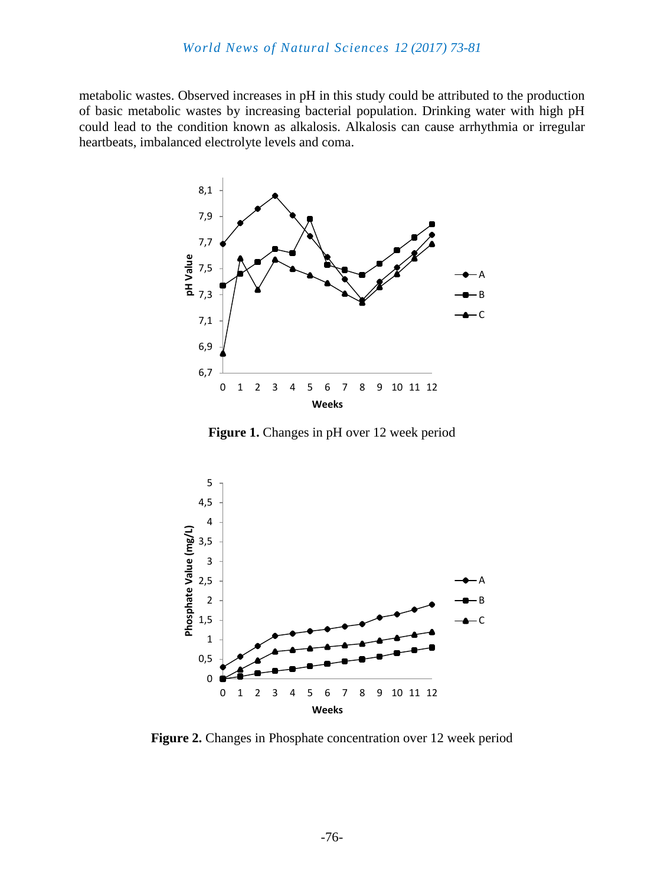metabolic wastes. Observed increases in pH in this study could be attributed to the production of basic metabolic wastes by increasing bacterial population. Drinking water with high pH could lead to the condition known as alkalosis. Alkalosis can cause arrhythmia or irregular heartbeats, imbalanced electrolyte levels and coma.



Figure 1. Changes in pH over 12 week period



**Figure 2.** Changes in Phosphate concentration over 12 week period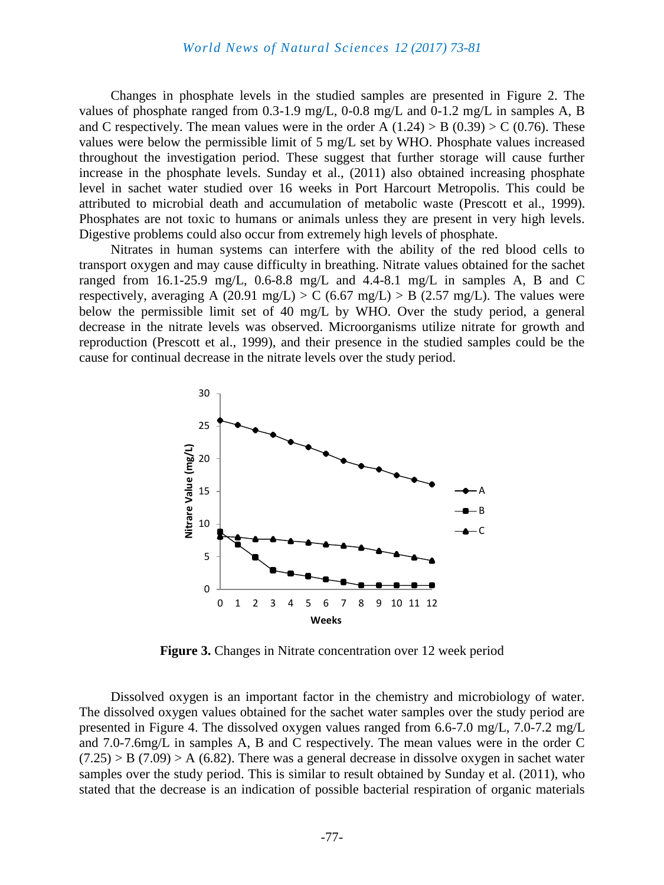Changes in phosphate levels in the studied samples are presented in Figure 2. The values of phosphate ranged from 0.3-1.9 mg/L, 0-0.8 mg/L and 0-1.2 mg/L in samples A, B and C respectively. The mean values were in the order A  $(1.24) > B (0.39) > C (0.76)$ . These values were below the permissible limit of 5 mg/L set by WHO. Phosphate values increased throughout the investigation period. These suggest that further storage will cause further increase in the phosphate levels. Sunday et al., (2011) also obtained increasing phosphate level in sachet water studied over 16 weeks in Port Harcourt Metropolis. This could be attributed to microbial death and accumulation of metabolic waste (Prescott et al., 1999). Phosphates are not toxic to humans or animals unless they are present in very high levels. Digestive problems could also occur from extremely high levels of phosphate.

Nitrates in human systems can interfere with the ability of the red blood cells to transport oxygen and may cause difficulty in breathing. Nitrate values obtained for the sachet ranged from 16.1-25.9 mg/L, 0.6-8.8 mg/L and 4.4-8.1 mg/L in samples A, B and C respectively, averaging A (20.91 mg/L) > C (6.67 mg/L) > B (2.57 mg/L). The values were below the permissible limit set of 40 mg/L by WHO. Over the study period, a general decrease in the nitrate levels was observed. Microorganisms utilize nitrate for growth and reproduction (Prescott et al., 1999), and their presence in the studied samples could be the cause for continual decrease in the nitrate levels over the study period.



**Figure 3.** Changes in Nitrate concentration over 12 week period

Dissolved oxygen is an important factor in the chemistry and microbiology of water. The dissolved oxygen values obtained for the sachet water samples over the study period are presented in Figure 4. The dissolved oxygen values ranged from 6.6-7.0 mg/L, 7.0-7.2 mg/L and 7.0-7.6mg/L in samples A, B and C respectively. The mean values were in the order C  $(7.25)$  > B  $(7.09)$  > A  $(6.82)$ . There was a general decrease in dissolve oxygen in sachet water samples over the study period. This is similar to result obtained by Sunday et al. (2011), who stated that the decrease is an indication of possible bacterial respiration of organic materials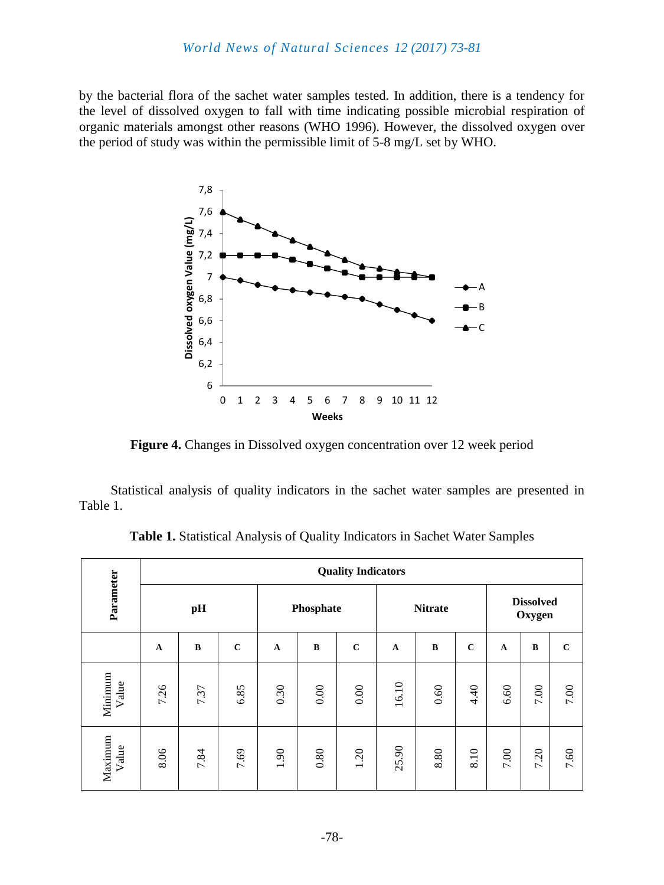by the bacterial flora of the sachet water samples tested. In addition, there is a tendency for the level of dissolved oxygen to fall with time indicating possible microbial respiration of organic materials amongst other reasons (WHO 1996). However, the dissolved oxygen over the period of study was within the permissible limit of 5-8 mg/L set by WHO.



**Figure 4.** Changes in Dissolved oxygen concentration over 12 week period

Statistical analysis of quality indicators in the sachet water samples are presented in Table 1.

| Parameter        | <b>Quality Indicators</b> |          |             |             |          |             |                |          |             |                            |          |             |
|------------------|---------------------------|----------|-------------|-------------|----------|-------------|----------------|----------|-------------|----------------------------|----------|-------------|
|                  | pH                        |          |             | Phosphate   |          |             | <b>Nitrate</b> |          |             | <b>Dissolved</b><br>Oxygen |          |             |
|                  | $\mathbf A$               | $\bf{B}$ | $\mathbf C$ | $\mathbf A$ | $\bf{B}$ | $\mathbf C$ | A              | $\bf{B}$ | $\mathbf C$ | $\mathbf A$                | $\bf{B}$ | $\mathbf C$ |
| Minimum<br>Value | 7.26                      | 7.37     | 6.85        | 0.30        | 0.00     | $0.00\,$    | 16.10          | 0.60     | 4.40        | 6.60                       | $7.00\,$ | $7.00\,$    |
| Maximum<br>Value | 8.06                      | 7.84     | 7.69        | 1.90        | $0.80\,$ | 1.20        | 25.90          | 8.80     | 8.10        | $7.00\,$                   | 7.20     | 7.60        |

**Table 1.** Statistical Analysis of Quality Indicators in Sachet Water Samples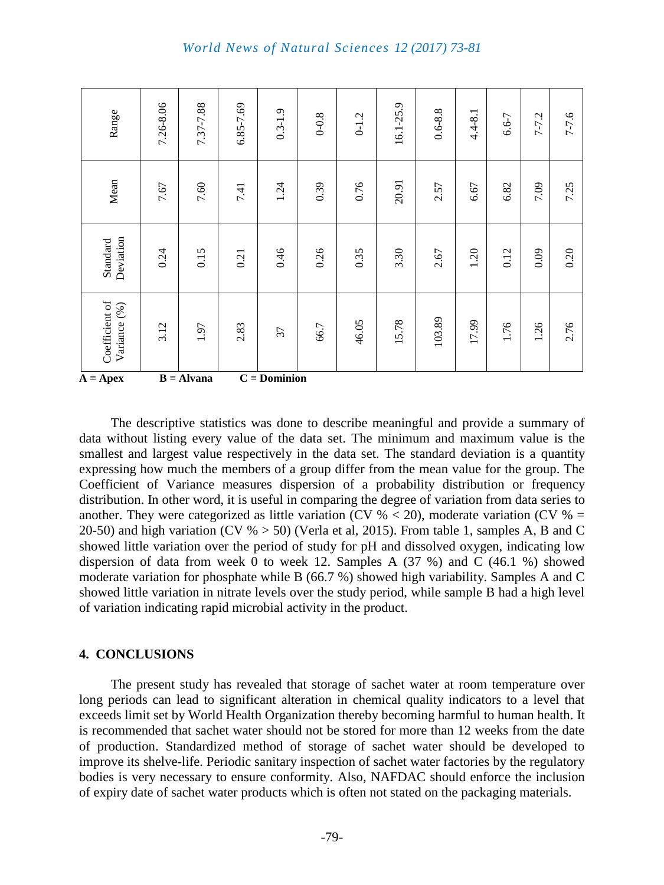| Coefficient of<br>Variance (%) | 3.12      | 1.97      | 2.83          | 37          | 66.7      | 46.05     | 15.78     | 103.89      | 17.99       | 1.76  | 1.26      | 2.76      |
|--------------------------------|-----------|-----------|---------------|-------------|-----------|-----------|-----------|-------------|-------------|-------|-----------|-----------|
| Deviation<br>Standard          | 0.24      | 0.15      | 0.21          | 0.46        | 0.26      | 0.35      | 3.30      | 2.67        | 1.20        | 0.12  | 0.09      | 0.20      |
| Mean                           | 7.67      | 7.60      | 7.41          | 1.24        | 0.39      | 0.76      | 20.91     | 2.57        | 6.67        | 6.82  | 7.09      | 7.25      |
| Range                          | 7.26-8.06 | 7.37-7.88 | $6.85 - 7.69$ | $0.3 - 1.9$ | $0 - 0.8$ | $0 - 1.2$ | 16.1-25.9 | $0.6 - 8.8$ | $4.4 - 8.1$ | 6.6-7 | $7 - 7.2$ | $7 - 7.6$ |

The descriptive statistics was done to describe meaningful and provide a summary of data without listing every value of the data set. The minimum and maximum value is the smallest and largest value respectively in the data set. The standard deviation is a quantity expressing how much the members of a group differ from the mean value for the group. The Coefficient of Variance measures dispersion of a probability distribution or frequency distribution. In other word, it is useful in comparing the degree of variation from data series to another. They were categorized as little variation (CV  $\%$  < 20), moderate variation (CV  $\%$  = 20-50) and high variation (CV  $\% > 50$ ) (Verla et al, 2015). From table 1, samples A, B and C showed little variation over the period of study for pH and dissolved oxygen, indicating low dispersion of data from week 0 to week 12. Samples A (37 %) and C (46.1 %) showed moderate variation for phosphate while B (66.7 %) showed high variability. Samples A and C showed little variation in nitrate levels over the study period, while sample B had a high level of variation indicating rapid microbial activity in the product.

#### **4. CONCLUSIONS**

The present study has revealed that storage of sachet water at room temperature over long periods can lead to significant alteration in chemical quality indicators to a level that exceeds limit set by World Health Organization thereby becoming harmful to human health. It is recommended that sachet water should not be stored for more than 12 weeks from the date of production. Standardized method of storage of sachet water should be developed to improve its shelve-life. Periodic sanitary inspection of sachet water factories by the regulatory bodies is very necessary to ensure conformity. Also, NAFDAC should enforce the inclusion of expiry date of sachet water products which is often not stated on the packaging materials.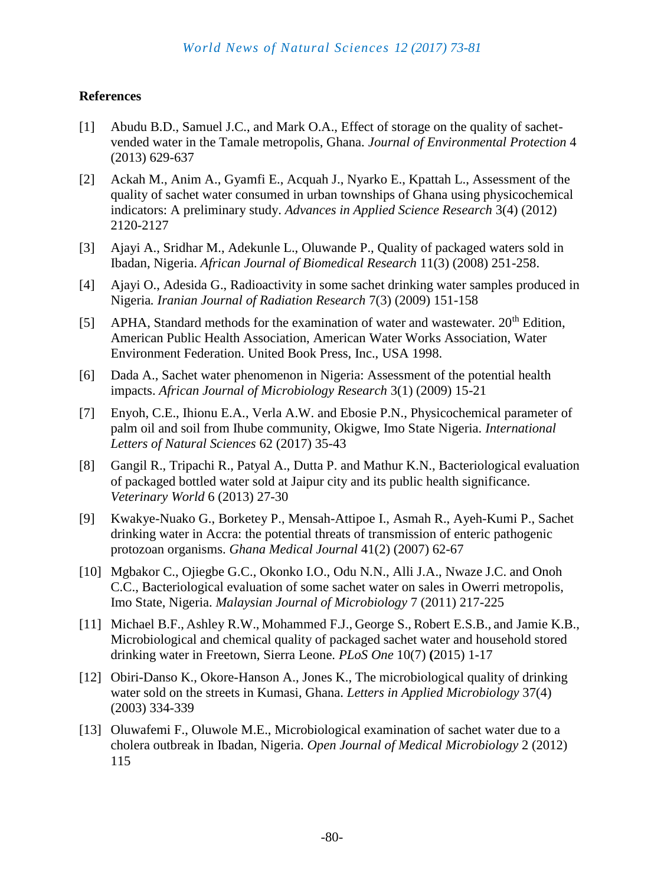# **References**

- [1] Abudu B.D., Samuel J.C., and Mark O.A., Effect of storage on the quality of sachetvended water in the Tamale metropolis, Ghana. *Journal of Environmental Protection* 4 (2013) 629-637
- [2] Ackah M., Anim A., Gyamfi E., Acquah J., Nyarko E., Kpattah L., Assessment of the quality of sachet water consumed in urban townships of Ghana using physicochemical indicators: A preliminary study. *Advances in Applied Science Research* 3(4) (2012) 2120-2127
- [3] Ajayi A., Sridhar M., Adekunle L., Oluwande P., Quality of packaged waters sold in Ibadan, Nigeria. *African Journal of Biomedical Research* 11(3) (2008) 251-258.
- [4] Ajayi O., Adesida G., Radioactivity in some sachet drinking water samples produced in Nigeria*. Iranian Journal of Radiation Research* 7(3) (2009) 151-158
- [5] APHA, Standard methods for the examination of water and wastewater.  $20<sup>th</sup>$  Edition, American Public Health Association, American Water Works Association, Water Environment Federation. United Book Press, Inc., USA 1998.
- [6] Dada A., Sachet water phenomenon in Nigeria: Assessment of the potential health impacts. *African Journal of Microbiology Research* 3(1) (2009) 15-21
- [7] Enyoh, C.E., Ihionu E.A., Verla A.W. and Ebosie P.N., Physicochemical parameter of palm oil and soil from Ihube community, Okigwe, Imo State Nigeria. *International Letters of Natural Sciences* 62 (2017) 35-43
- [8] Gangil R., Tripachi R., Patyal A., Dutta P. and Mathur K.N., Bacteriological evaluation of packaged bottled water sold at Jaipur city and its public health significance. *Veterinary World* 6 (2013) 27-30
- [9] Kwakye-Nuako G., Borketey P., Mensah-Attipoe I., Asmah R., Ayeh-Kumi P., Sachet drinking water in Accra: the potential threats of transmission of enteric pathogenic protozoan organisms. *Ghana Medical Journal* 41(2) (2007) 62-67
- [10] Mgbakor C., Ojiegbe G.C., Okonko I.O., Odu N.N., Alli J.A., Nwaze J.C. and Onoh C.C., Bacteriological evaluation of some sachet water on sales in Owerri metropolis, Imo State, Nigeria. *Malaysian Journal of Microbiology* 7 (2011) 217-225
- [11] Michael B.F., Ashley R.W., Mohammed F.J., George S., Robert E.S.B., and Jamie K.B., Microbiological and chemical quality of packaged sachet water and household stored drinking water in Freetown, Sierra Leone. *PLoS One* 10(7) **(**2015) 1-17
- [12] Obiri-Danso K., Okore-Hanson A., Jones K., The microbiological quality of drinking water sold on the streets in Kumasi, Ghana. *Letters in Applied Microbiology* 37(4) (2003) 334-339
- [13] Oluwafemi F., Oluwole M.E., Microbiological examination of sachet water due to a cholera outbreak in Ibadan, Nigeria. *Open Journal of Medical Microbiology* 2 (2012) 115